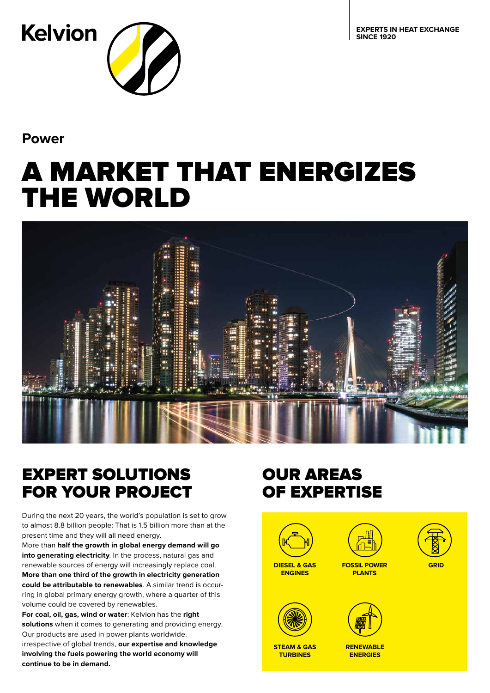**EXPERTS IN HEAT EXCHANGE SINCE 1920**

**Kelvion** 

**Power**

# A MARKET THAT ENERGIZES THE WORLD



# EXPERT SOLUTIONS FOR YOUR PROJECT

During the next 20 years, the world's population is set to grow to almost 8.8 billion people: That is 1.5 billion more than at the present time and they will all need energy.

More than **half the growth in global energy demand will go into generating electricity**. In the process, natural gas and renewable sources of energy will increasingly replace coal. **More than one third of the growth in electricity generation could be attributable to renewables**. A similar trend is occurring in global primary energy growth, where a quarter of this volume could be covered by renewables.

**For coal, oil, gas, wind or water**: Kelvion has the **right solutions** when it comes to generating and providing energy. Our products are used in power plants worldwide. irrespective of global trends, **our expertise and knowledge involving the fuels powering the world economy will continue to be in demand.**

# OUR AREAS OF EXPERTISE